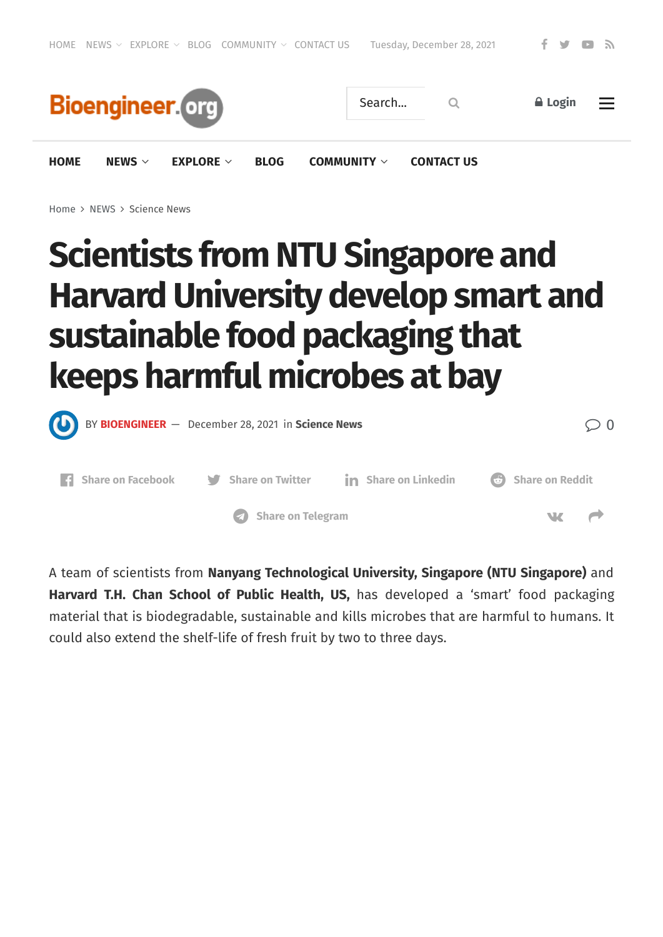

[Home](https://bioengineer.org/) > [NEWS](https://bioengineer.org/category/news/) > [Science](https://bioengineer.org/category/news/science-news/) News

# **Scientists from NTU Singapore and HarvardUniversity develop smart and sustainable food packaging that keeps harmful microbes at bay**



A team of scientists from **Nanyang Technological University, Singapore (NTU Singapore)** and **Harvard T.H. Chan School of Public Health, US,** has developed a 'smart' food packaging material that is biodegradable, sustainable and kills microbes that are harmful to humans. It could also extend the shelf-life of fresh fruit by two to three days.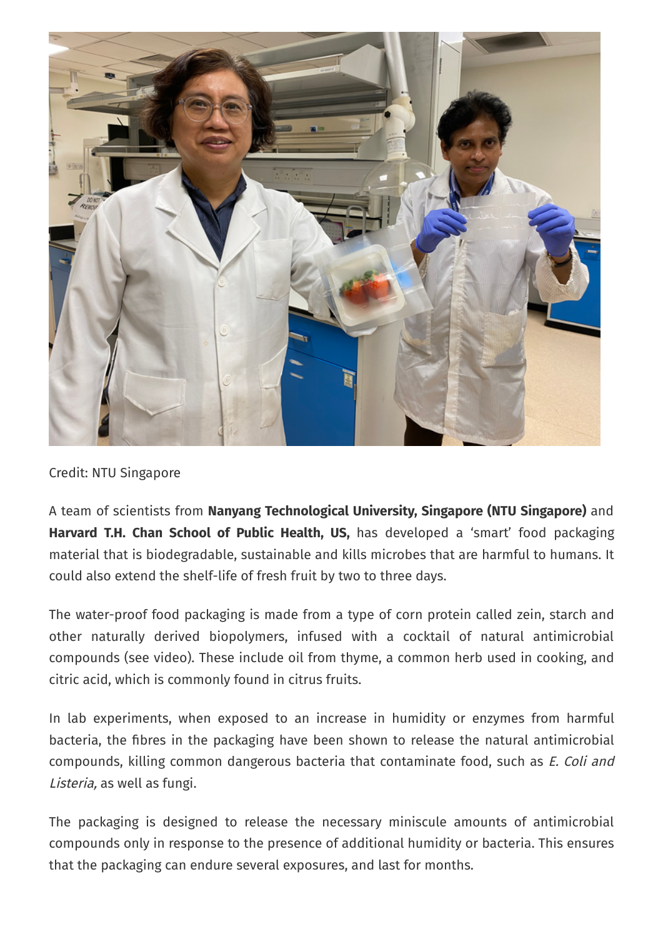

Credit: NTU Singapore

A team of scientists from **Nanyang Technological University, Singapore (NTU Singapore)** and **Harvard T.H. Chan School of Public Health, US,** has developed a 'smart' food packaging material that is biodegradable, sustainable and kills microbes that are harmful to humans. It could also extend the shelf-life of fresh fruit by two to three days.

The water-proof food packaging is made from a type of corn protein called zein, starch and other naturally derived biopolymers, infused with a cocktail of natural antimicrobial compounds (see video). These include oil from thyme, a common herb used in cooking, and citric acid, which is commonly found in citrus fruits.

In lab experiments, when exposed to an increase in humidity or enzymes from harmful bacteria, the fibres in the packaging have been shown to release the natural antimicrobial compounds, killing common dangerous bacteria that contaminate food, such as E. Coli and Listeria, as well as fungi.

The packaging is designed to release the necessary miniscule amounts of antimicrobial compounds only in response to the presence of additional humidity or bacteria. This ensures that the packaging can endure several exposures, and last for months.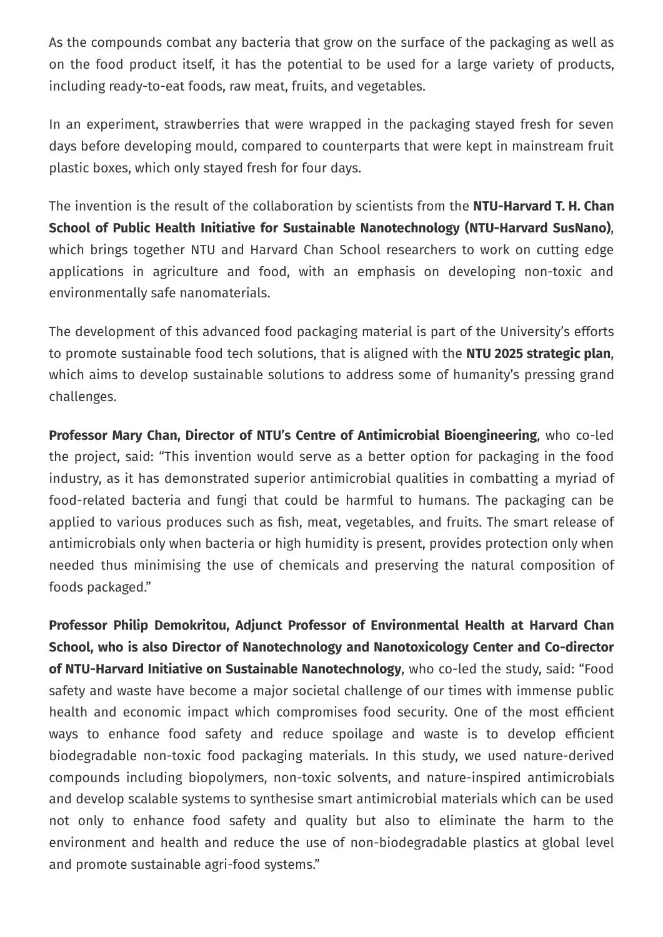As the compounds combat any bacteria that grow on the surface of the packaging as well as on the food product itself, it has the potential to be used for a large variety of products, including ready-to-eat foods, raw meat, fruits, and vegetables.

In an experiment, strawberries that were wrapped in the packaging stayed fresh for seven days before developing mould, compared to counterparts that were kept in mainstream fruit plastic boxes, which only stayed fresh for four days.

The invention is the result of the collaboration by scientists from the **NTU-Harvard T. H. Chan School of Public Health Initiative for Sustainable Nanotechnology (NTU-Harvard SusNano)**, which brings together NTU and Harvard Chan School researchers to work on cutting edge applications in agriculture and food, with an emphasis on developing non-toxic and environmentally safe nanomaterials.

The development of this advanced food packaging material is part of the University's efforts to promote sustainable food tech solutions, that is aligned with the **NTU 2025 strategic plan**, which aims to develop sustainable solutions to address some of humanity's pressing grand challenges.

**Professor Mary Chan, Director of NTU's Centre of Antimicrobial Bioengineering**, who co-led the project, said: "This invention would serve as a better option for packaging in the food industry, as it has demonstrated superior antimicrobial qualities in combatting a myriad of food-related bacteria and fungi that could be harmful to humans. The packaging can be applied to various produces such as fish, meat, vegetables, and fruits. The smart release of antimicrobials only when bacteria or high humidity is present, provides protection only when needed thus minimising the use of chemicals and preserving the natural composition of foods packaged."

**Professor Philip Demokritou, Adjunct Professor of Environmental Health at Harvard Chan School, who is also Director of Nanotechnology and Nanotoxicology Center and Co-director of NTU-Harvard Initiative on Sustainable Nanotechnology**, who co-led the study, said: "Food safety and waste have become a major societal challenge of our times with immense public health and economic impact which compromises food security. One of the most efficient ways to enhance food safety and reduce spoilage and waste is to develop efficient biodegradable non-toxic food packaging materials. In this study, we used nature-derived compounds including biopolymers, non-toxic solvents, and nature-inspired antimicrobials and develop scalable systems to synthesise smart antimicrobial materials which can be used not only to enhance food safety and quality but also to eliminate the harm to the environment and health and reduce the use of non-biodegradable plastics at global level and promote sustainable agri-food systems."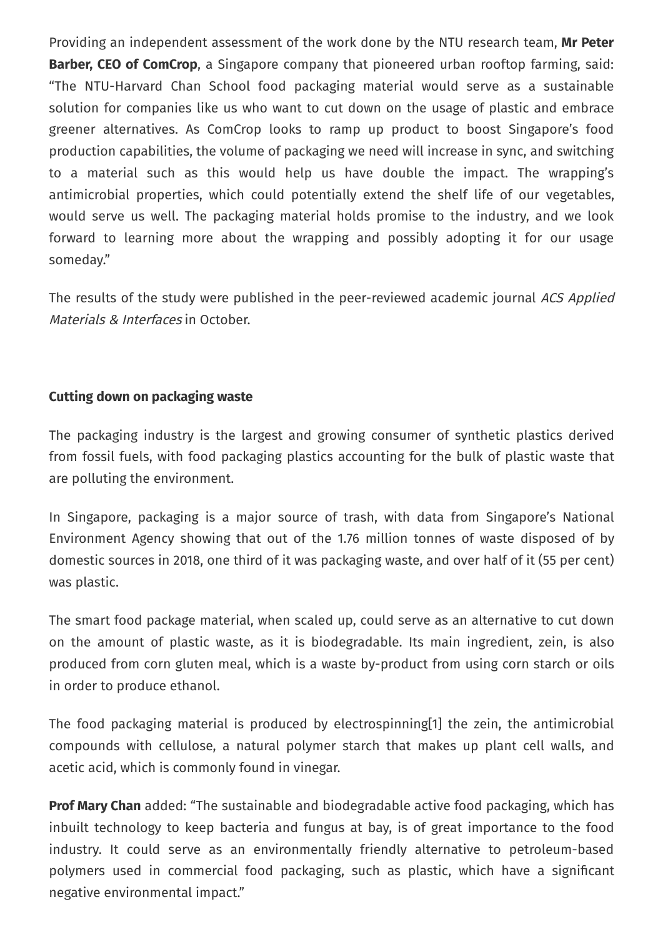Providing an independent assessment of the work done by the NTU research team, **Mr Peter Barber, CEO of ComCrop**, a Singapore company that pioneered urban rooftop farming, said: "The NTU-Harvard Chan School food packaging material would serve as a sustainable solution for companies like us who want to cut down on the usage of plastic and embrace greener alternatives. As ComCrop looks to ramp up product to boost Singapore's food production capabilities, the volume of packaging we need will increase in sync, and switching to a material such as this would help us have double the impact. The wrapping's antimicrobial properties, which could potentially extend the shelf life of our vegetables, would serve us well. The packaging material holds promise to the industry, and we look forward to learning more about the wrapping and possibly adopting it for our usage someday."

The results of the study were published in the peer-reviewed academic journal ACS Applied Materials & Interfaces in October.

#### **Cutting down on packaging waste**

The packaging industry is the largest and growing consumer of synthetic plastics derived from fossil fuels, with food packaging plastics accounting for the bulk of plastic waste that are polluting the environment.

In Singapore, packaging is a major source of trash, with data from Singapore's National Environment Agency showing that out of the 1.76 million tonnes of waste disposed of by domestic sources in 2018, one third of it was packaging waste, and over half of it (55 per cent) was plastic.

The smart food package material, when scaled up, could serve as an alternative to cut down on the amount of plastic waste, as it is biodegradable. Its main ingredient, zein, is also produced from corn gluten meal, which is a waste by-product from using corn starch or oils in order to produce ethanol.

The food packaging material is produced by electrospinning[1] the zein, the antimicrobial compounds with cellulose, a natural polymer starch that makes up plant cell walls, and acetic acid, which is commonly found in vinegar.

**Prof Mary Chan** added: "The sustainable and biodegradable active food packaging, which has inbuilt technology to keep bacteria and fungus at bay, is of great importance to the food industry. It could serve as an environmentally friendly alternative to petroleum-based polymers used in commercial food packaging, such as plastic, which have a significant negative environmental impact."